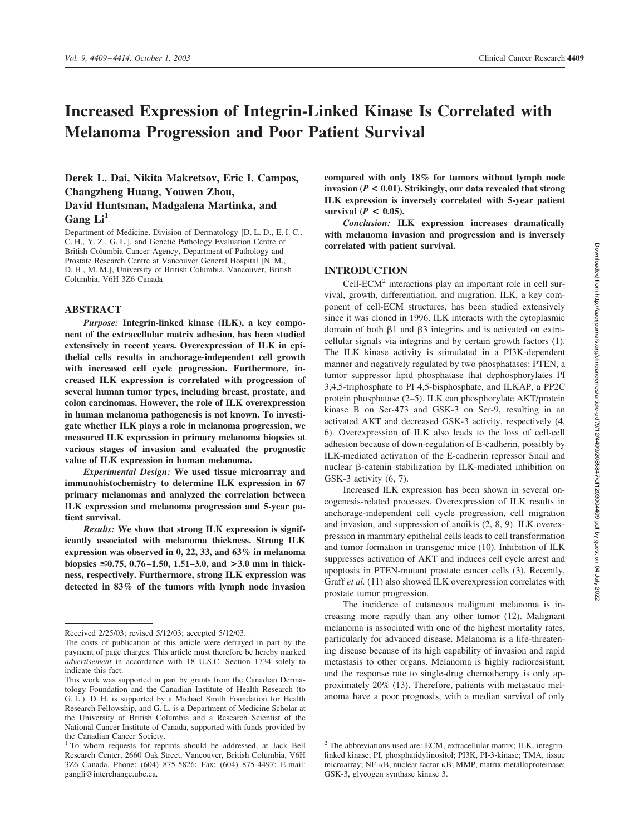# **Increased Expression of Integrin-Linked Kinase Is Correlated with Melanoma Progression and Poor Patient Survival**

# **Derek L. Dai, Nikita Makretsov, Eric I. Campos, Changzheng Huang, Youwen Zhou, David Huntsman, Madgalena Martinka, and** Gang Li<sup>1</sup>

Department of Medicine, Division of Dermatology [D. L. D., E. I. C., C. H., Y. Z., G. L.], and Genetic Pathology Evaluation Centre of British Columbia Cancer Agency, Department of Pathology and Prostate Research Centre at Vancouver General Hospital [N. M., D. H., M. M.], University of British Columbia, Vancouver, British Columbia, V6H 3Z6 Canada

#### **ABSTRACT**

*Purpose:* **Integrin-linked kinase (ILK), a key component of the extracellular matrix adhesion, has been studied extensively in recent years. Overexpression of ILK in epithelial cells results in anchorage-independent cell growth with increased cell cycle progression. Furthermore, increased ILK expression is correlated with progression of several human tumor types, including breast, prostate, and colon carcinomas. However, the role of ILK overexpression in human melanoma pathogenesis is not known. To investigate whether ILK plays a role in melanoma progression, we measured ILK expression in primary melanoma biopsies at various stages of invasion and evaluated the prognostic value of ILK expression in human melanoma.**

*Experimental Design:* **We used tissue microarray and immunohistochemistry to determine ILK expression in 67 primary melanomas and analyzed the correlation between ILK expression and melanoma progression and 5-year patient survival.**

*Results:* **We show that strong ILK expression is significantly associated with melanoma thickness. Strong ILK expression was observed in 0, 22, 33, and 63% in melanoma biopsies** <**0.75, 0.76 –1.50, 1.51–3.0, and >3.0 mm in thickness, respectively. Furthermore, strong ILK expression was detected in 83% of the tumors with lymph node invasion**

**compared with only 18% for tumors without lymph node invasion (***P* **< 0.01). Strikingly, our data revealed that strong ILK expression is inversely correlated with 5-year patient** survival  $(P < 0.05)$ .

*Conclusion:* **ILK expression increases dramatically with melanoma invasion and progression and is inversely correlated with patient survival.**

# **INTRODUCTION**

Cell-ECM<sup>2</sup> interactions play an important role in cell survival, growth, differentiation, and migration. ILK, a key component of cell-ECM structures, has been studied extensively since it was cloned in 1996. ILK interacts with the cytoplasmic domain of both  $\beta$ 1 and  $\beta$ 3 integrins and is activated on extracellular signals via integrins and by certain growth factors (1). The ILK kinase activity is stimulated in a PI3K-dependent manner and negatively regulated by two phosphatases: PTEN, a tumor suppressor lipid phosphatase that dephosphorylates PI 3,4,5-triphosphate to PI 4,5-bisphosphate, and ILKAP, a PP2C protein phosphatase (2–5). ILK can phosphorylate AKT/protein kinase B on Ser-473 and GSK-3 on Ser-9, resulting in an activated AKT and decreased GSK-3 activity, respectively (4, 6). Overexpression of ILK also leads to the loss of cell-cell adhesion because of down-regulation of E-cadherin, possibly by ILK-mediated activation of the E-cadherin repressor Snail and nuclear  $\beta$ -catenin stabilization by ILK-mediated inhibition on GSK-3 activity (6, 7).

Increased ILK expression has been shown in several oncogenesis-related processes. Overexpression of ILK results in anchorage-independent cell cycle progression, cell migration and invasion, and suppression of anoikis (2, 8, 9). ILK overexpression in mammary epithelial cells leads to cell transformation and tumor formation in transgenic mice (10). Inhibition of ILK suppresses activation of AKT and induces cell cycle arrest and apoptosis in PTEN-mutant prostate cancer cells (3). Recently, Graff *et al.* (11) also showed ILK overexpression correlates with prostate tumor progression.

The incidence of cutaneous malignant melanoma is increasing more rapidly than any other tumor (12). Malignant melanoma is associated with one of the highest mortality rates, particularly for advanced disease. Melanoma is a life-threatening disease because of its high capability of invasion and rapid metastasis to other organs. Melanoma is highly radioresistant, and the response rate to single-drug chemotherapy is only approximately 20% (13). Therefore, patients with metastatic melanoma have a poor prognosis, with a median survival of only

Received 2/25/03; revised 5/12/03; accepted 5/12/03.

The costs of publication of this article were defrayed in part by the payment of page charges. This article must therefore be hereby marked *advertisement* in accordance with 18 U.S.C. Section 1734 solely to indicate this fact.

This work was supported in part by grants from the Canadian Dermatology Foundation and the Canadian Institute of Health Research (to G. L.). D. H. is supported by a Michael Smith Foundation for Health Research Fellowship, and G. L. is a Department of Medicine Scholar at the University of British Columbia and a Research Scientist of the National Cancer Institute of Canada, supported with funds provided by the Canadian Cancer Society.

<sup>&</sup>lt;sup>1</sup> To whom requests for reprints should be addressed, at Jack Bell Research Center, 2660 Oak Street, Vancouver, British Columbia, V6H 3Z6 Canada. Phone: (604) 875-5826; Fax: (604) 875-4497; E-mail: gangli@interchange.ubc.ca.

<sup>&</sup>lt;sup>2</sup> The abbreviations used are: ECM, extracellular matrix; ILK, integrinlinked kinase; PI, phosphatidylinositol; PI3K, PI-3-kinase; TMA, tissue microarray; NF-KB, nuclear factor KB; MMP, matrix metalloproteinase; GSK-3, glycogen synthase kinase 3.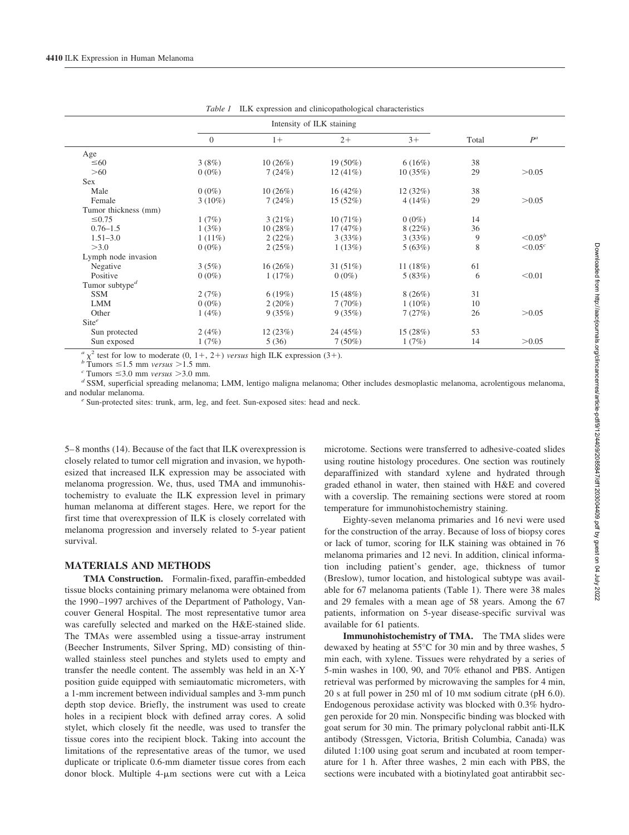|                            | Intensity of ILK staining |            |            |           |       |               |
|----------------------------|---------------------------|------------|------------|-----------|-------|---------------|
|                            | $\overline{0}$            | $1+$       | $2+$       | $3+$      | Total | $P^a$         |
| Age                        |                           |            |            |           |       |               |
| $\leq 60$                  | 3(8%)                     | 10(26%)    | $19(50\%)$ | 6(16%)    | 38    |               |
| >60                        | $0(0\%)$                  | 7(24%)     | $12(41\%)$ | 10(35%)   | 29    | > 0.05        |
| <b>Sex</b>                 |                           |            |            |           |       |               |
| Male                       | $0(0\%)$                  | 10(26%)    | 16(42%)    | 12(32%)   | 38    |               |
| Female                     | $3(10\%)$                 | 7(24%)     | 15 (52%)   | $4(14\%)$ | 29    | > 0.05        |
| Tumor thickness (mm)       |                           |            |            |           |       |               |
| $\leq 0.75$                | 1(7%)                     | 3(21%)     | 10(71%)    | $0(0\%)$  | 14    |               |
| $0.76 - 1.5$               | 1(3%)                     | 10(28%)    | 17(47%)    | 8(22%)    | 36    |               |
| $1.51 - 3.0$               | $1(11\%)$                 | 2(22%)     | 3(33%)     | 3(33%)    | 9     | $\leq 0.05^b$ |
| >3.0                       | $0(0\%)$                  | 2(25%)     | 1(13%)     | 5(63%)    | 8     | $< 0.05^c$    |
| Lymph node invasion        |                           |            |            |           |       |               |
| Negative                   | 3(5%)                     | $16(26\%)$ | 31(51%)    | 11(18%)   | 61    |               |
| Positive                   | $0(0\%)$                  | 1(17%)     | $0(0\%)$   | 5(83%)    | 6     | < 0.01        |
| Tumor subtype <sup>d</sup> |                           |            |            |           |       |               |
| <b>SSM</b>                 | 2(7%)                     | 6(19%)     | 15 (48%)   | 8(26%)    | 31    |               |
| <b>LMM</b>                 | $0(0\%)$                  | $2(20\%)$  | 7(70%)     | $1(10\%)$ | 10    |               |
| Other                      | 1(4%)                     | 9(35%)     | 9(35%)     | 7(27%)    | 26    | > 0.05        |
| $\text{Site}^e$            |                           |            |            |           |       |               |
| Sun protected              | 2(4%)                     | 12(23%)    | 24(45%)    | 15(28%)   | 53    |               |
| Sun exposed                | 1(7%)                     | 5(36)      | $7(50\%)$  | 1(7%)     | 14    | > 0.05        |

*Table 1* ILK expression and clinicopathological characteristics

 $a_{\chi}^2$  test for low to moderate (0, 1+, 2+) versus high ILK expression (3+).<br>  $b_{\text{Tumors}} \leq 1.5 \text{ mm}$  versus >1.5 mm.<br>  $c_{\text{Tumors}} \leq 3.0 \text{ mm}$  versus >3.0 mm.<br>  $d_{\text{SSM}}$ , superficial spreading melanoma; LMM, lentigo ma and nodular melanoma. *<sup>e</sup>* Sun-protected sites: trunk, arm, leg, and feet. Sun-exposed sites: head and neck.

5– 8 months (14). Because of the fact that ILK overexpression is closely related to tumor cell migration and invasion, we hypothesized that increased ILK expression may be associated with melanoma progression. We, thus, used TMA and immunohistochemistry to evaluate the ILK expression level in primary human melanoma at different stages. Here, we report for the first time that overexpression of ILK is closely correlated with melanoma progression and inversely related to 5-year patient survival.

## **MATERIALS AND METHODS**

**TMA Construction.** Formalin-fixed, paraffin-embedded tissue blocks containing primary melanoma were obtained from the 1990 –1997 archives of the Department of Pathology, Vancouver General Hospital. The most representative tumor area was carefully selected and marked on the H&E-stained slide. The TMAs were assembled using a tissue-array instrument (Beecher Instruments, Silver Spring, MD) consisting of thinwalled stainless steel punches and stylets used to empty and transfer the needle content. The assembly was held in an X-Y position guide equipped with semiautomatic micrometers, with a 1-mm increment between individual samples and 3-mm punch depth stop device. Briefly, the instrument was used to create holes in a recipient block with defined array cores. A solid stylet, which closely fit the needle, was used to transfer the tissue cores into the recipient block. Taking into account the limitations of the representative areas of the tumor, we used duplicate or triplicate 0.6-mm diameter tissue cores from each donor block. Multiple  $4\text{-}\mu\text{m}$  sections were cut with a Leica microtome. Sections were transferred to adhesive-coated slides using routine histology procedures. One section was routinely deparaffinized with standard xylene and hydrated through graded ethanol in water, then stained with H&E and covered with a coverslip. The remaining sections were stored at room temperature for immunohistochemistry staining.

Eighty-seven melanoma primaries and 16 nevi were used for the construction of the array. Because of loss of biopsy cores or lack of tumor, scoring for ILK staining was obtained in 76 melanoma primaries and 12 nevi. In addition, clinical information including patient's gender, age, thickness of tumor (Breslow), tumor location, and histological subtype was available for 67 melanoma patients (Table 1). There were 38 males and 29 females with a mean age of 58 years. Among the 67 patients, information on 5-year disease-specific survival was available for 61 patients.

**Immunohistochemistry of TMA.** The TMA slides were dewaxed by heating at 55°C for 30 min and by three washes, 5 min each, with xylene. Tissues were rehydrated by a series of 5-min washes in 100, 90, and 70% ethanol and PBS. Antigen retrieval was performed by microwaving the samples for 4 min, 20 s at full power in 250 ml of 10 mM sodium citrate (pH 6.0). Endogenous peroxidase activity was blocked with 0.3% hydrogen peroxide for 20 min. Nonspecific binding was blocked with goat serum for 30 min. The primary polyclonal rabbit anti-ILK antibody (Stressgen, Victoria, British Columbia, Canada) was diluted 1:100 using goat serum and incubated at room temperature for 1 h. After three washes, 2 min each with PBS, the sections were incubated with a biotinylated goat antirabbit sec-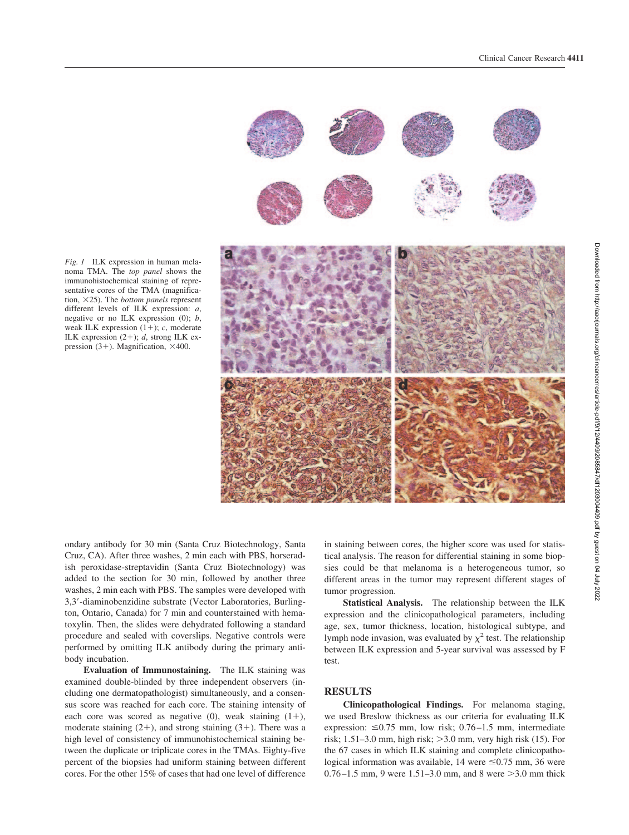

*Fig. 1* ILK expression in human melanoma TMA. The *top panel* shows the immunohistochemical staining of representative cores of the TMA (magnification, 25). The *bottom panels* represent different levels of ILK expression: *a*, negative or no ILK expression (0); *b*, weak ILK expression  $(1+)$ ; *c*, moderate ILK expression  $(2+)$ ; *d*, strong ILK expression  $(3+)$ . Magnification,  $\times$ 400.

ondary antibody for 30 min (Santa Cruz Biotechnology, Santa Cruz, CA). After three washes, 2 min each with PBS, horseradish peroxidase-streptavidin (Santa Cruz Biotechnology) was added to the section for 30 min, followed by another three washes, 2 min each with PBS. The samples were developed with 3,3-diaminobenzidine substrate (Vector Laboratories, Burlington, Ontario, Canada) for 7 min and counterstained with hematoxylin. Then, the slides were dehydrated following a standard procedure and sealed with coverslips. Negative controls were performed by omitting ILK antibody during the primary antibody incubation.

**Evaluation of Immunostaining.** The ILK staining was examined double-blinded by three independent observers (including one dermatopathologist) simultaneously, and a consensus score was reached for each core. The staining intensity of each core was scored as negative (0), weak staining  $(1+)$ , moderate staining  $(2+)$ , and strong staining  $(3+)$ . There was a high level of consistency of immunohistochemical staining between the duplicate or triplicate cores in the TMAs. Eighty-five percent of the biopsies had uniform staining between different cores. For the other 15% of cases that had one level of difference in staining between cores, the higher score was used for statistical analysis. The reason for differential staining in some biopsies could be that melanoma is a heterogeneous tumor, so different areas in the tumor may represent different stages of tumor progression.

**Statistical Analysis.** The relationship between the ILK expression and the clinicopathological parameters, including age, sex, tumor thickness, location, histological subtype, and lymph node invasion, was evaluated by  $\chi^2$  test. The relationship between ILK expression and 5-year survival was assessed by F test.

## **RESULTS**

**Clinicopathological Findings.** For melanoma staging, we used Breslow thickness as our criteria for evaluating ILK expression:  $\leq 0.75$  mm, low risk; 0.76–1.5 mm, intermediate risk;  $1.51-3.0$  mm, high risk;  $>3.0$  mm, very high risk (15). For the 67 cases in which ILK staining and complete clinicopathological information was available, 14 were  $\leq 0.75$  mm, 36 were 0.76 – 1.5 mm, 9 were 1.51 – 3.0 mm, and 8 were  $>$  3.0 mm thick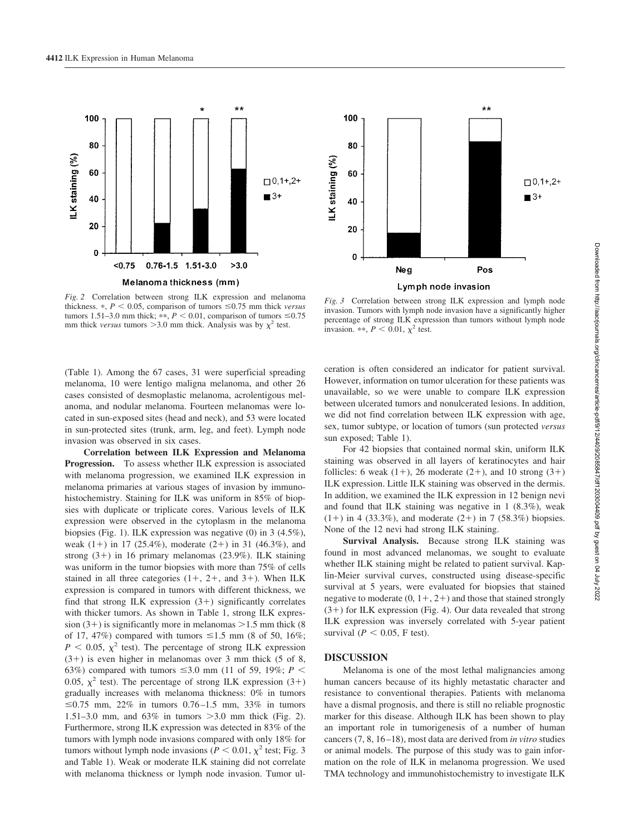

*Fig. 2* Correlation between strong ILK expression and melanoma thickness.  $\ast$ ,  $P \le 0.05$ , comparison of tumors  $\le 0.75$  mm thick *versus* tumors 1.51–3.0 mm thick; \*\*,  $P < 0.01$ , comparison of tumors  $\le 0.75$ mm thick *versus* tumors  $>3.0$  mm thick. Analysis was by  $\chi^2$  test.



*Fig. 3* Correlation between strong ILK expression and lymph node invasion. Tumors with lymph node invasion have a significantly higher percentage of strong ILK expression than tumors without lymph node invasion. \*\*,  $P < 0.01$ ,  $\chi^2$  test.

(Table 1). Among the 67 cases, 31 were superficial spreading melanoma, 10 were lentigo maligna melanoma, and other 26 cases consisted of desmoplastic melanoma, acrolentigous melanoma, and nodular melanoma. Fourteen melanomas were located in sun-exposed sites (head and neck), and 53 were located in sun-protected sites (trunk, arm, leg, and feet). Lymph node invasion was observed in six cases.

**Correlation between ILK Expression and Melanoma Progression.** To assess whether ILK expression is associated with melanoma progression, we examined ILK expression in melanoma primaries at various stages of invasion by immunohistochemistry. Staining for ILK was uniform in 85% of biopsies with duplicate or triplicate cores. Various levels of ILK expression were observed in the cytoplasm in the melanoma biopsies (Fig. 1). ILK expression was negative (0) in 3 (4.5%), weak  $(1+)$  in 17 (25.4%), moderate  $(2+)$  in 31 (46.3%), and strong  $(3+)$  in 16 primary melanomas  $(23.9\%)$ . ILK staining was uniform in the tumor biopsies with more than 75% of cells stained in all three categories  $(1+, 2+,$  and  $3+)$ . When ILK expression is compared in tumors with different thickness, we find that strong ILK expression  $(3+)$  significantly correlates with thicker tumors. As shown in Table 1, strong ILK expression  $(3+)$  is significantly more in melanomas  $>1.5$  mm thick (8) of 17, 47%) compared with tumors  $\leq 1.5$  mm (8 of 50, 16%;  $P < 0.05$ ,  $\chi^2$  test). The percentage of strong ILK expression  $(3+)$  is even higher in melanomas over 3 mm thick (5 of 8, 63%) compared with tumors  $\leq 3.0$  mm (11 of 59, 19%; *P* < 0.05,  $\chi^2$  test). The percentage of strong ILK expression (3+) gradually increases with melanoma thickness: 0% in tumors ≤0.75 mm, 22% in tumors 0.76–1.5 mm, 33% in tumors 1.51–3.0 mm, and 63% in tumors 3.0 mm thick (Fig. 2). Furthermore, strong ILK expression was detected in 83% of the tumors with lymph node invasions compared with only 18% for tumors without lymph node invasions ( $P < 0.01$ ,  $\chi^2$  test; Fig. 3 and Table 1). Weak or moderate ILK staining did not correlate with melanoma thickness or lymph node invasion. Tumor ulceration is often considered an indicator for patient survival. However, information on tumor ulceration for these patients was unavailable, so we were unable to compare ILK expression between ulcerated tumors and nonulcerated lesions. In addition, we did not find correlation between ILK expression with age, sex, tumor subtype, or location of tumors (sun protected *versus* sun exposed; Table 1).

For 42 biopsies that contained normal skin, uniform ILK staining was observed in all layers of keratinocytes and hair follicles: 6 weak  $(1+)$ , 26 moderate  $(2+)$ , and 10 strong  $(3+)$ ILK expression. Little ILK staining was observed in the dermis. In addition, we examined the ILK expression in 12 benign nevi and found that ILK staining was negative in 1 (8.3%), weak  $(1+)$  in 4 (33.3%), and moderate (2+) in 7 (58.3%) biopsies. None of the 12 nevi had strong ILK staining.

**Survival Analysis.** Because strong ILK staining was found in most advanced melanomas, we sought to evaluate whether ILK staining might be related to patient survival. Kaplin-Meier survival curves, constructed using disease-specific survival at 5 years, were evaluated for biopsies that stained negative to moderate  $(0, 1+, 2+)$  and those that stained strongly  $(3+)$  for ILK expression (Fig. 4). Our data revealed that strong ILK expression was inversely correlated with 5-year patient survival ( $P < 0.05$ , F test).

### **DISCUSSION**

Melanoma is one of the most lethal malignancies among human cancers because of its highly metastatic character and resistance to conventional therapies. Patients with melanoma have a dismal prognosis, and there is still no reliable prognostic marker for this disease. Although ILK has been shown to play an important role in tumorigenesis of a number of human cancers (7, 8, 16 –18), most data are derived from *in vitro* studies or animal models. The purpose of this study was to gain information on the role of ILK in melanoma progression. We used TMA technology and immunohistochemistry to investigate ILK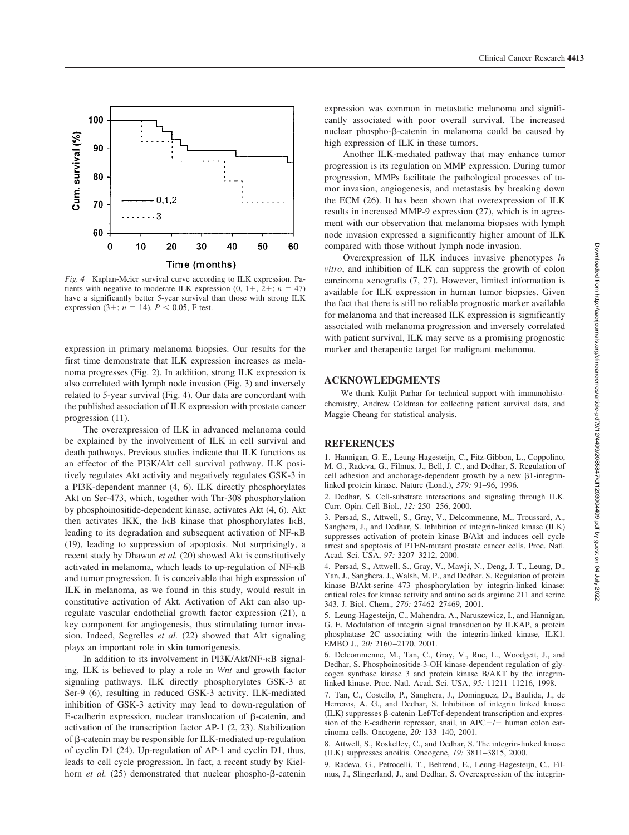

*Fig. 4* Kaplan-Meier survival curve according to ILK expression. Patients with negative to moderate ILK expression  $(0, 1+, 2+, n = 47)$ have a significantly better 5-year survival than those with strong ILK expression (3+;  $n = 14$ ).  $P < 0.05$ , F test.

expression in primary melanoma biopsies. Our results for the first time demonstrate that ILK expression increases as melanoma progresses (Fig. 2). In addition, strong ILK expression is also correlated with lymph node invasion (Fig. 3) and inversely related to 5-year survival (Fig. 4). Our data are concordant with the published association of ILK expression with prostate cancer progression (11).

The overexpression of ILK in advanced melanoma could be explained by the involvement of ILK in cell survival and death pathways. Previous studies indicate that ILK functions as an effector of the PI3K/Akt cell survival pathway. ILK positively regulates Akt activity and negatively regulates GSK-3 in a PI3K-dependent manner (4, 6). ILK directly phosphorylates Akt on Ser-473, which, together with Thr-308 phosphorylation by phosphoinositide-dependent kinase, activates Akt (4, 6). Akt then activates IKK, the IKB kinase that phosphorylates IKB, leading to its degradation and subsequent activation of NF-KB (19), leading to suppression of apoptosis. Not surprisingly, a recent study by Dhawan *et al.* (20) showed Akt is constitutively activated in melanoma, which leads to up-regulation of NF-KB and tumor progression. It is conceivable that high expression of ILK in melanoma, as we found in this study, would result in constitutive activation of Akt. Activation of Akt can also upregulate vascular endothelial growth factor expression (21), a key component for angiogenesis, thus stimulating tumor invasion. Indeed, Segrelles *et al.* (22) showed that Akt signaling plays an important role in skin tumorigenesis.

In addition to its involvement in PI3K/Akt/NF-KB signaling, ILK is believed to play a role in *Wnt* and growth factor signaling pathways. ILK directly phosphorylates GSK-3 at Ser-9 (6), resulting in reduced GSK-3 activity. ILK-mediated inhibition of GSK-3 activity may lead to down-regulation of E-cadherin expression, nuclear translocation of  $\beta$ -catenin, and activation of the transcription factor AP-1 (2, 23). Stabilization of  $\beta$ -catenin may be responsible for ILK-mediated up-regulation of cyclin D1 (24). Up-regulation of AP-1 and cyclin D1, thus, leads to cell cycle progression. In fact, a recent study by Kielhorn *et al.* (25) demonstrated that nuclear phospho- $\beta$ -catenin

expression was common in metastatic melanoma and significantly associated with poor overall survival. The increased nuclear phospho-β-catenin in melanoma could be caused by high expression of ILK in these tumors.

Another ILK-mediated pathway that may enhance tumor progression is its regulation on MMP expression. During tumor progression, MMPs facilitate the pathological processes of tumor invasion, angiogenesis, and metastasis by breaking down the ECM (26). It has been shown that overexpression of ILK results in increased MMP-9 expression (27), which is in agreement with our observation that melanoma biopsies with lymph node invasion expressed a significantly higher amount of ILK compared with those without lymph node invasion.

Overexpression of ILK induces invasive phenotypes *in vitro*, and inhibition of ILK can suppress the growth of colon carcinoma xenografts (7, 27). However, limited information is available for ILK expression in human tumor biopsies. Given the fact that there is still no reliable prognostic marker available for melanoma and that increased ILK expression is significantly associated with melanoma progression and inversely correlated with patient survival, ILK may serve as a promising prognostic marker and therapeutic target for malignant melanoma.

#### **ACKNOWLEDGMENTS**

We thank Kuljit Parhar for technical support with immunohistochemistry, Andrew Coldman for collecting patient survival data, and Maggie Cheang for statistical analysis.

#### **REFERENCES**

1. Hannigan, G. E., Leung-Hagesteijn, C., Fitz-Gibbon, L., Coppolino, M. G., Radeva, G., Filmus, J., Bell, J. C., and Dedhar, S. Regulation of cell adhesion and anchorage-dependent growth by a new  $\beta$ 1-integrinlinked protein kinase. Nature (Lond.), *379:* 91–96, 1996.

2. Dedhar, S. Cell-substrate interactions and signaling through ILK. Curr. Opin. Cell Biol., *12:* 250 –256, 2000.

3. Persad, S., Attwell, S., Gray, V., Delcommenne, M., Troussard, A., Sanghera, J., and Dedhar, S. Inhibition of integrin-linked kinase (ILK) suppresses activation of protein kinase B/Akt and induces cell cycle arrest and apoptosis of PTEN-mutant prostate cancer cells. Proc. Natl. Acad. Sci. USA, *97:* 3207–3212, 2000.

4. Persad, S., Attwell, S., Gray, V., Mawji, N., Deng, J. T., Leung, D., Yan, J., Sanghera, J., Walsh, M. P., and Dedhar, S. Regulation of protein kinase B/Akt-serine 473 phosphorylation by integrin-linked kinase: critical roles for kinase activity and amino acids arginine 211 and serine 343. J. Biol. Chem., *276:* 27462–27469, 2001.

5. Leung-Hagesteijn, C., Mahendra, A., Naruszewicz, I., and Hannigan, G. E. Modulation of integrin signal transduction by ILKAP, a protein phosphatase 2C associating with the integrin-linked kinase, ILK1. EMBO J., *20:* 2160 –2170, 2001.

6. Delcommenne, M., Tan, C., Gray, V., Rue, L., Woodgett, J., and Dedhar, S. Phosphoinositide-3-OH kinase-dependent regulation of glycogen synthase kinase 3 and protein kinase B/AKT by the integrinlinked kinase. Proc. Natl. Acad. Sci. USA, *95:* 11211–11216, 1998.

7. Tan, C., Costello, P., Sanghera, J., Dominguez, D., Baulida, J., de Herreros, A. G., and Dedhar, S. Inhibition of integrin linked kinase  $(ILK)$  suppresses  $\beta$ -catenin-Lef/Tcf-dependent transcription and expression of the E-cadherin repressor, snail, in APC-/- human colon carcinoma cells. Oncogene, *20:* 133–140, 2001.

8. Attwell, S., Roskelley, C., and Dedhar, S. The integrin-linked kinase (ILK) suppresses anoikis. Oncogene, *19:* 3811–3815, 2000.

9. Radeva, G., Petrocelli, T., Behrend, E., Leung-Hagesteijn, C., Filmus, J., Slingerland, J., and Dedhar, S. Overexpression of the integrin